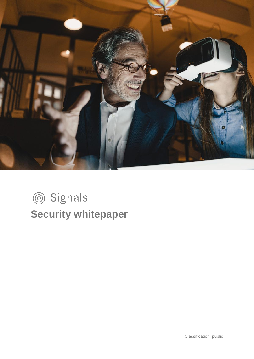

# Signals **Security whitepaper**

Classification: public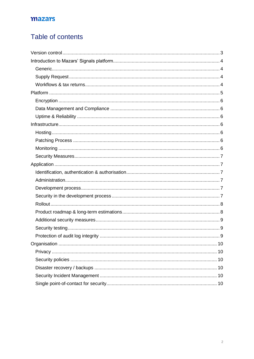# Table of contents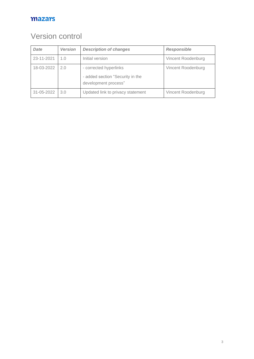# <span id="page-2-0"></span>Version control

| <b>Date</b> | <b>Version</b> | <b>Description of changes</b>                                                      | <b>Responsible</b> |
|-------------|----------------|------------------------------------------------------------------------------------|--------------------|
| 23-11-2021  | 1.0            | Initial version                                                                    | Vincent Roodenburg |
| 18-03-2022  | 2.0            | - corrected hyperlinks<br>- added section "Security in the<br>development process" | Vincent Roodenburg |
| 31-05-2022  | 3.0            | Updated link to privacy statement                                                  | Vincent Roodenburg |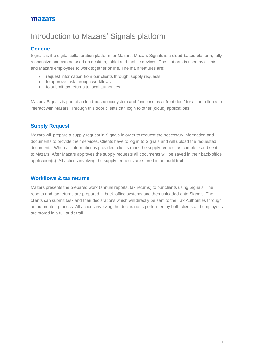# <span id="page-3-0"></span>Introduction to Mazars' Signals platform

#### <span id="page-3-1"></span>**Generic**

Signals is the digital collaboration platform for Mazars. Mazars Signals is a cloud-based platform, fully responsive and can be used on desktop, tablet and mobile devices. The platform is used by clients and Mazars employees to work together online. The main features are:

- request information from our clients through 'supply requests'
- to approve task through workflows
- to submit tax returns to local authorities

Mazars' Signals is part of a cloud-based ecosystem and functions as a 'front door' for all our clients to interact with Mazars. Through this door clients can login to other (cloud) applications.

#### <span id="page-3-2"></span>**Supply Request**

Mazars will prepare a supply request in Signals in order to request the necessary information and documents to provide their services. Clients have to log in to Signals and will upload the requested documents. When all information is provided, clients mark the supply request as complete and sent it to Mazars. After Mazars approves the supply requests all documents will be saved in their back-office application(s). All actions involving the supply requests are stored in an audit trail.

#### <span id="page-3-3"></span>**Workflows & tax returns**

Mazars presents the prepared work (annual reports, tax returns) to our clients using Signals. The reports and tax returns are prepared in back-office systems and then uploaded onto Signals. The clients can submit task and their declarations which will directly be sent to the Tax Authorities through an automated process. All actions involving the declarations performed by both clients and employees are stored in a full audit trail.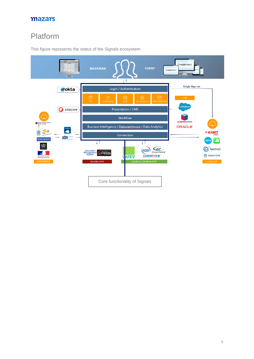# <span id="page-4-0"></span>Platform



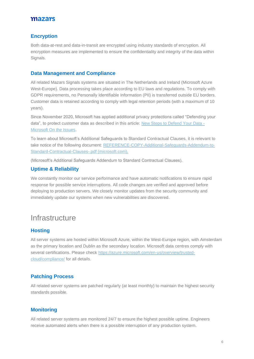#### <span id="page-5-0"></span>**Encryption**

Both data-at-rest and data-in-transit are encrypted using industry standards of encryption. All encryption measures are implemented to ensure the confidentiality and integrity of the data within Signals.

#### <span id="page-5-1"></span>**Data Management and Compliance**

All related Mazars Signals systems are situated in The Netherlands and Ireland (Microsoft Azure West-Europe). Data processing takes place according to EU laws and regulations. To comply with GDPR requirements, no Personally Identifiable Information (PII) is transferred outside EU borders. Customer data is retained according to comply with legal retention periods (with a maximum of 10 years).

Since November 2020, Microsoft has applied additional privacy protections called "Defending your data", to protect customer data as described in this article: [New Steps to Defend Your Data -](https://blogs.microsoft.com/on-the-issues/2020/11/19/defending-your-data-edpb-gdpr/) [Microsoft On the Issues.](https://blogs.microsoft.com/on-the-issues/2020/11/19/defending-your-data-edpb-gdpr/)

To learn about Microsoft's Additional Safeguards to Standard Contractual Clauses, it is relevant to take notice of the following document: [REFERENCE-COPY-Additional-Safeguards-Addendum-to-](https://news.microsoft.com/wp-content/uploads/prod/sites/442/2021/01/REFERENCE-COPY-Additional-Safeguards-Addendum-to-Standard-Contractual-Clauses-.pdf)[Standard-Contractual-Clauses-.pdf \(microsoft.com\).](https://news.microsoft.com/wp-content/uploads/prod/sites/442/2021/01/REFERENCE-COPY-Additional-Safeguards-Addendum-to-Standard-Contractual-Clauses-.pdf)

(Microsoft's Additional Safeguards Addendum to Standard Contractual Clauses).

#### <span id="page-5-2"></span>**Uptime & Reliability**

We constantly monitor our service performance and have automatic notifications to ensure rapid response for possible service interruptions. All code changes are verified and approved before deploying to production servers. We closely monitor updates from the security community and immediately update our systems when new vulnerabilities are discovered.

# <span id="page-5-3"></span>**Infrastructure**

#### <span id="page-5-4"></span>**Hosting**

All server systems are hosted within Microsoft Azure, within the West-Europe region, with Amsterdam as the primary location and Dublin as the secondary location. Microsoft data centres comply with several certifications. Please check [https://azure.microsoft.com/en-us/overview/trusted](https://azure.microsoft.com/en-us/overview/trusted-cloud/compliance/)[cloud/compliance/](https://azure.microsoft.com/en-us/overview/trusted-cloud/compliance/) for all details.

#### <span id="page-5-5"></span>**Patching Process**

All related server systems are patched regularly (at least monthly) to maintain the highest security standards possible.

#### <span id="page-5-6"></span>**Monitoring**

All related server systems are monitored 24/7 to ensure the highest possible uptime. Engineers receive automated alerts when there is a possible interruption of any production system.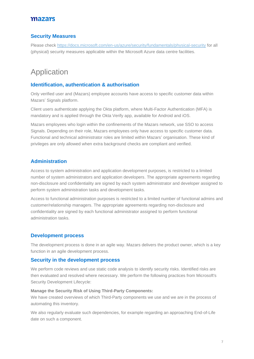#### <span id="page-6-0"></span>**Security Measures**

Please check<https://docs.microsoft.com/en-us/azure/security/fundamentals/physical-security> for all (physical) security measures applicable within the Microsoft Azure data centre facilities.

# <span id="page-6-1"></span>Application

#### <span id="page-6-2"></span>**Identification, authentication & authorisation**

Only verified user and (Mazars) employee accounts have access to specific customer data within Mazars' Signals platform.

Client users authenticate applying the Okta platform, where Multi-Factor Authentication (MFA) is mandatory and is applied through the Okta Verify app, available for Android and iOS.

Mazars employees who login within the confinements of the Mazars network, use SSO to access Signals. Depending on their role, Mazars employees only have access to specific customer data. Functional and technical administrator roles are limited within Mazars' organisation. These kind of privileges are only allowed when extra background checks are compliant and verified.

#### <span id="page-6-3"></span>**Administration**

Access to system administration and application development purposes, is restricted to a limited number of system administrators and application developers. The appropriate agreements regarding non-disclosure and confidentiality are signed by each system administrator and developer assigned to perform system administration tasks and development tasks.

Access to functional administration purposes is restricted to a limited number of functional admins and customer/relationship managers. The appropriate agreements regarding non-disclosure and confidentiality are signed by each functional administrator assigned to perform functional administration tasks.

#### <span id="page-6-4"></span>**Development process**

The development process is done in an agile way. Mazars delivers the product owner, which is a key function in an agile development process.

#### <span id="page-6-5"></span>**Security in the development process**

We perform code reviews and use static code analysis to identify security risks. Identified risks are then evaluated and resolved where necessary. We perform the following practices from Microsoft's Security Development Lifecycle:

#### **Manage the Security Risk of Using Third-Party Components:**

We have created overviews of which Third-Party components we use and we are in the process of automating this inventory.

We also regularly evaluate such dependencies, for example regarding an approaching End-of-Life date on such a component.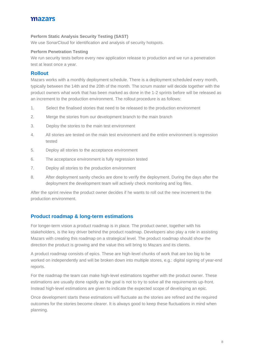#### **Perform Static Analysis Security Testing (SAST)**

We use SonarCloud for identification and analysis of security hotspots.

#### **Perform Penetration Testing**

We run security tests before every new application release to production and we run a penetration test at least once a year.

#### <span id="page-7-0"></span>**Rollout**

Mazars works with a monthly deployment schedule. There is a deployment scheduled every month, typically between the 14th and the 20th of the month. The scrum master will decide together with the product owners what work that has been marked as done in the 1-2 sprints before will be released as an increment to the production environment. The rollout procedure is as follows:

- 1. Select the finalised stories that need to be released to the production environment
- 2. Merge the stories from our development branch to the main branch
- 3. Deploy the stories to the main test environment
- 4. All stories are tested on the main test environment and the entire environment is regression tested
- 5. Deploy all stories to the acceptance environment
- 6. The acceptance environment is fully regression tested
- 7. Deploy all stories to the production environment
- 8. After deployment sanity checks are done to verify the deployment. During the days after the deployment the development team will actively check monitoring and log files.

After the sprint review the product owner decides if he wants to roll out the new increment to the production environment.

#### <span id="page-7-1"></span>**Product roadmap & long-term estimations**

For longer-term vision a product roadmap is in place. The product owner, together with his stakeholders, is the key driver behind the product roadmap. Developers also play a role in assisting Mazars with creating this roadmap on a strategical level. The product roadmap should show the direction the product is growing and the value this will bring to Mazars and its clients.

A product roadmap consists of epics. These are high-level chunks of work that are too big to be worked on independently and will be broken down into multiple stores, e.g.: digital signing of year-end reports.

For the roadmap the team can make high-level estimations together with the product owner. These estimations are usually done rapidly as the goal is not to try to solve all the requirements up-front. Instead high-level estimations are given to indicate the expected scope of developing an epic.

Once development starts these estimations will fluctuate as the stories are refined and the required outcomes for the stories become clearer. It is always good to keep these fluctuations in mind when planning.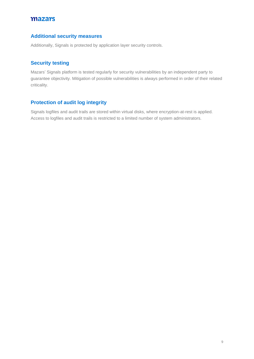#### <span id="page-8-0"></span>**Additional security measures**

Additionally, Signals is protected by application layer security controls.

#### <span id="page-8-1"></span>**Security testing**

Mazars' Signals platform is tested regularly for security vulnerabilities by an independent party to guarantee objectivity. Mitigation of possible vulnerabilities is always performed in order of their related criticality.

### <span id="page-8-2"></span>**Protection of audit log integrity**

Signals logfiles and audit trails are stored within virtual disks, where encryption-at-rest is applied. Access to logfiles and audit trails is restricted to a limited number of system administrators.